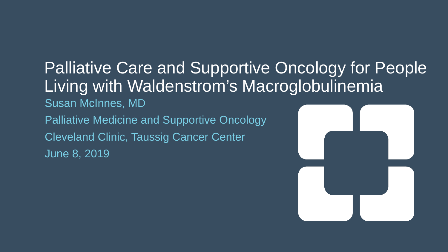#### Palliative Care and Supportive Oncology for People Living with Waldenstrom's Macroglobulinemia

Susan McInnes, MD Palliative Medicine and Supportive Oncology Cleveland Clinic, Taussig Cancer Center June 8, 2019

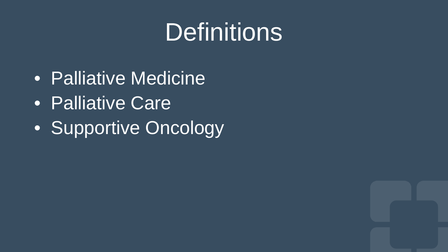#### **Definitions**

- Palliative Medicine
- **Palliative Care**
- Supportive Oncology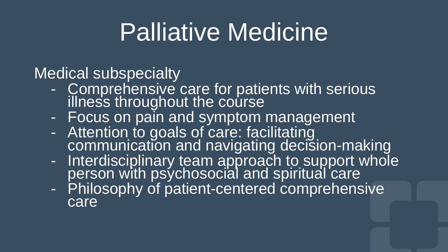### Palliative Medicine

- Medical subspecialty<br>- Comprehensive care for patients with serious<br>illness throughout the course
	-
	- illess throughout management<br>Focus on pain and symptom management<br>- Attention to goals of care: facilitating<br>communication and navigating decision-making
	- communication and navigating decision-making Interdisciplinary team approach to support whole person with psychosocial and spiritual care - Philosophy of patient-centered comprehensive
	- care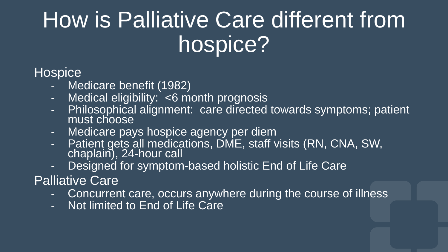#### How is Palliative Care different from hospice?

#### **Hospice**

- Medicare benefit (1982)
- Medical eligibility: <6 month prognosis
- Philosophical alignment: care directed towards symptoms; patient must choose
- Medicare pays hospice agency per diem
- Patient gets all medications, DME, staff visits (RN, CNA, SW, chaplain), 24-hour call
- Designed for symptom-based holistic End of Life Care

#### Palliative Care

- Concurrent care, occurs anywhere during the course of illness
- Not limited to End of Life Care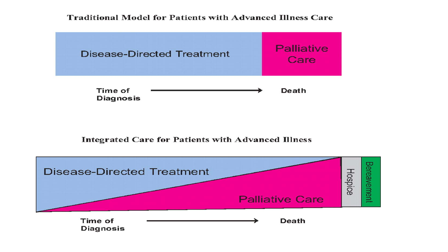#### **Traditional Model for Patients with Advanced Illness Care**



#### **Integrated Care for Patients with Advanced Illness**

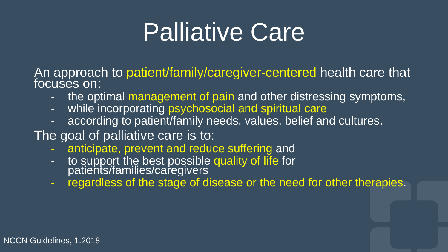### Palliative Care

An approach to patient/family/caregiver-centered health care that focuses on:

- the optimal management of pain and other distressing symptoms,
- while incorporating psychosocial and spiritual care
- according to patient/family needs, values, belief and cultures.
- The goal of palliative care is to:
	- anticipate, prevent and reduce suffering and
	- to support the best possible quality of life for patients/families/caregivers
	- regardless of the stage of disease or the need for other therapies.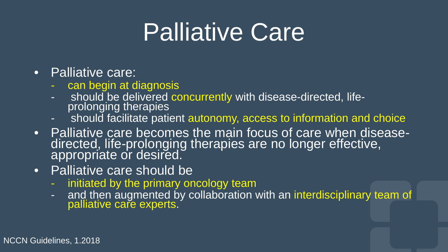### Palliative Care

- Palliative care:
	- can begin at diagnosis
	- should be delivered concurrently with disease-directed, life-<br>prolonging therapies
	- should facilitate patient autonomy, access to information and choice
- Palliative care becomes the main focus of care when disease- directed, life-prolonging therapies are no longer effective, appropriate or desired.
- Palliative care should be
	- initiated by the primary oncology team
	- and then augmented by collaboration with an interdisciplinary team of palliative care experts.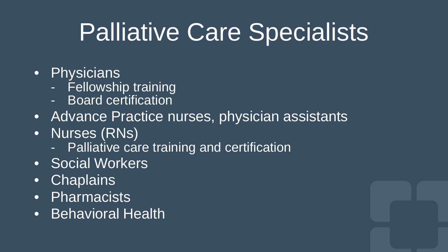## Palliative Care Specialists

- Physicians
	- Fellowship training
	- Board certification
- Advance Practice nurses, physician assistants
- Nurses (RNs)
	- Palliative care training and certification
- Social Workers
- Chaplains
- Pharmacists
- Behavioral Health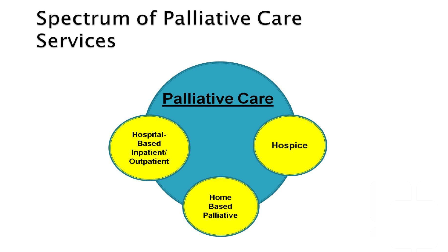#### **Spectrum of Palliative Care Services**

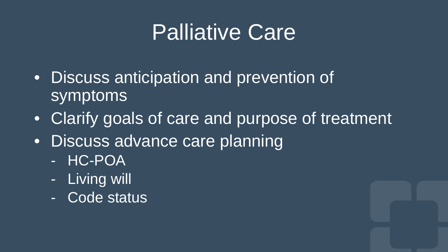#### Palliative Care

- Discuss anticipation and prevention of symptoms
- Clarify goals of care and purpose of treatment
- Discuss advance care planning
	- HC-POA
	- Living will
	- Code status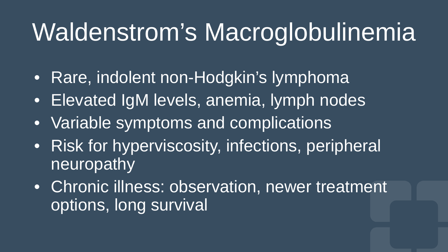# Waldenstrom's Macroglobulinemia

- Rare, indolent non-Hodgkin's lymphoma
- Elevated IgM levels, anemia, lymph nodes
- Variable symptoms and complications
- Risk for hyperviscosity, infections, peripheral neuropathy
- Chronic illness: observation, newer treatment options, long survival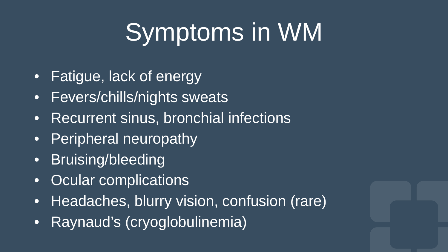# Symptoms in WM

- Fatigue, lack of energy
- Fevers/chills/nights sweats
- Recurrent sinus, bronchial infections
- Peripheral neuropathy
- Bruising/bleeding
- Ocular complications
- Headaches, blurry vision, confusion (rare)
- Raynaud's (cryoglobulinemia)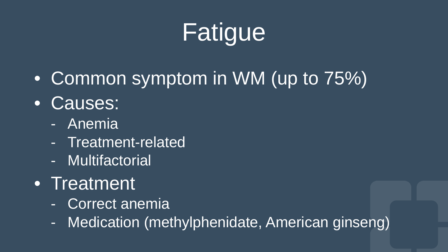# **Fatigue**

- Common symptom in WM (up to 75%)
- Causes:
	- Anemia
	- Treatment-related
	- Multifactorial
- Treatment
	- Correct anemia
	- Medication (methylphenidate, American ginseng)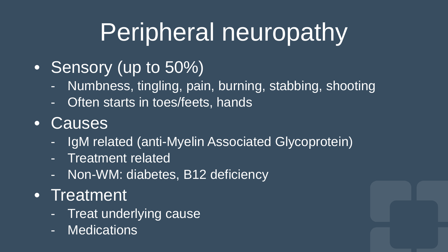# Peripheral neuropathy

- Sensory (up to 50%)
	- Numbness, tingling, pain, burning, stabbing, shooting
	- Often starts in toes/feets, hands
- Causes
	- IgM related (anti-Myelin Associated Glycoprotein)
	- **Treatment related**
	- Non-WM: diabetes, B12 deficiency
- Treatment
	- Treat underlying cause
	- Medications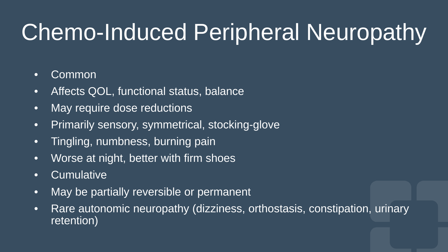#### Chemo-Induced Peripheral Neuropathy

#### • Common

- Affects QOL, functional status, balance
- May require dose reductions
- Primarily sensory, symmetrical, stocking-glove
- Tingling, numbness, burning pain
- Worse at night, better with firm shoes
- Cumulative
- May be partially reversible or permanent
- Rare autonomic neuropathy (dizziness, orthostasis, constipation, urinary retention)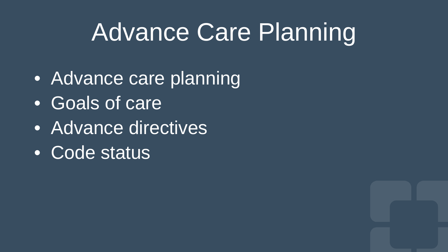### Advance Care Planning

- Advance care planning
- Goals of care
- Advance directives
- Code status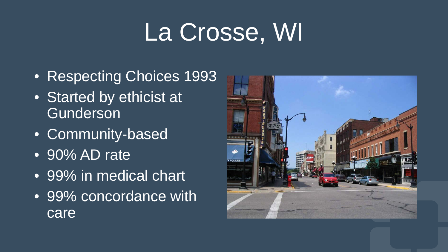# La Crosse, WI

- Respecting Choices 1993
- Started by ethicist at Gunderson
- Community-based
- 90% AD rate
- 99% in medical chart
- 99% concordance with care

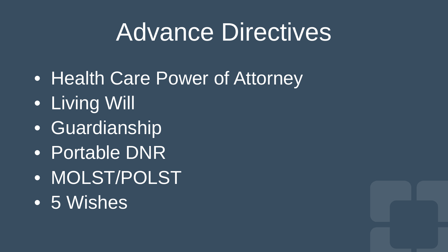#### Advance Directives

- Health Care Power of Attorney
- **Living Will**
- Guardianship
- Portable DNR
- MOLST/POLST
- 5 Wishes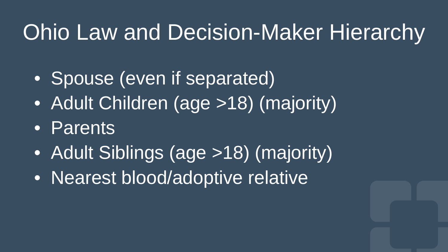#### Ohio Law and Decision-Maker Hierarchy

- Spouse (even if separated)
- Adult Children (age >18) (majority)
- Parents
- Adult Siblings (age >18) (majority)
- Nearest blood/adoptive relative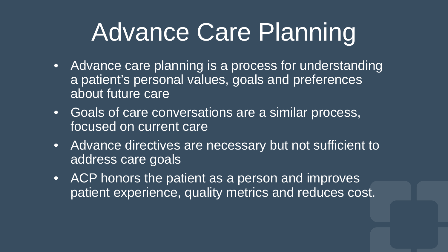## Advance Care Planning

- Advance care planning is a process for understanding a patient's personal values, goals and preferences about future care
- Goals of care conversations are a similar process, focused on current care
- Advance directives are necessary but not sufficient to address care goals
- ACP honors the patient as a person and improves patient experience, quality metrics and reduces cost.